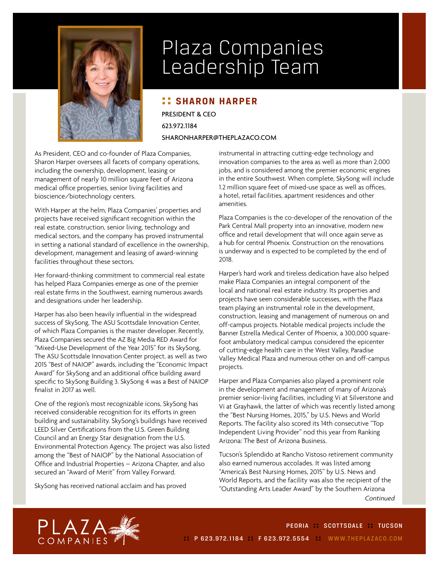

## Plaza Companies Leadership Team

## **:: SHARON HARPER**

PRESIDENT & CEO 623.972.1184

SHARONHARPER@THEPLAZACO.COM

As President, CEO and co-founder of Plaza Companies, Sharon Harper oversees all facets of company operations, including the ownership, development, leasing or management of nearly 10 million square feet of Arizona medical office properties, senior living facilities and bioscience/biotechnology centers.

With Harper at the helm, Plaza Companies' properties and projects have received significant recognition within the real estate, construction, senior living, technology and medical sectors, and the company has proved instrumental in setting a national standard of excellence in the ownership, development, management and leasing of award-winning facilities throughout these sectors.

Her forward-thinking commitment to commercial real estate has helped Plaza Companies emerge as one of the premier real estate firms in the Southwest, earning numerous awards and designations under her leadership.

Harper has also been heavily influential in the widespread success of SkySong, The ASU Scottsdale Innovation Center, of which Plaza Companies is the master developer. Recently, Plaza Companies secured the AZ Big Media RED Award for "Mixed-Use Development of the Year 2015" for its SkySong, The ASU Scottsdale Innovation Center project, as well as two 2015 "Best of NAIOP" awards, including the "Economic Impact Award" for SkySong and an additional office building award specific to SkySong Building 3. SkySong 4 was a Best of NAIOP finalist in 2017 as well.

One of the region's most recognizable icons, SkySong has received considerable recognition for its efforts in green building and sustainability. SkySong's buildings have received LEED Silver Certifications from the U.S. Green Building Council and an Energy Star designation from the U.S. Environmental Protection Agency. The project was also listed among the "Best of NAIOP" by the National Association of Office and Industrial Properties – Arizona Chapter, and also secured an "Award of Merit" from Valley Forward.

SkySong has received national acclaim and has proved

instrumental in attracting cutting-edge technology and innovation companies to the area as well as more than 2,000 jobs, and is considered among the premier economic engines in the entire Southwest. When complete, SkySong will include 1.2 million square feet of mixed-use space as well as offices, a hotel, retail facilities, apartment residences and other amenities.

Plaza Companies is the co-developer of the renovation of the Park Central Mall property into an innovative, modern new office and retail development that will once again serve as a hub for central Phoenix. Construction on the renovations is underway and is expected to be completed by the end of 2018.

Harper's hard work and tireless dedication have also helped make Plaza Companies an integral component of the local and national real estate industry. Its properties and projects have seen considerable successes, with the Plaza team playing an instrumental role in the development, construction, leasing and management of numerous on and off-campus projects. Notable medical projects include the Banner Estrella Medical Center of Phoenix, a 300,000 squarefoot ambulatory medical campus considered the epicenter of cutting-edge health care in the West Valley, Paradise Valley Medical Plaza and numerous other on and off-campus projects.

Harper and Plaza Companies also played a prominent role in the development and management of many of Arizona's premier senior-living facilities, including Vi at Silverstone and Vi at Grayhawk, the latter of which was recently listed among the "Best Nursing Homes, 2015," by U.S. News and World Reports. The facility also scored its 14th consecutive "Top Independent Living Provider" nod this year from Ranking Arizona: The Best of Arizona Business.

Tucson's Splendido at Rancho Vistoso retirement community also earned numerous accolades. It was listed among "America's Best Nursing Homes, 2015" by U.S. News and World Reports, and the facility was also the recipient of the "Outstanding Arts Leader Award" by the Southern Arizona *Continued*